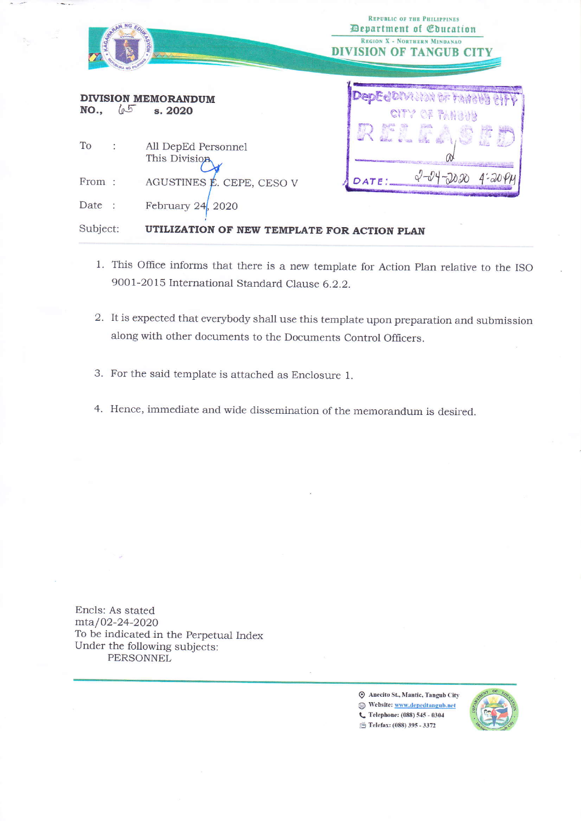|                              | XON<br><b>Video</b>                         | <b>REPUBLIC OF THE PHILIPPINES</b><br><b>Department of Coucation</b><br><b>REGION X - NORTHERN MINDANAO</b><br><b>DIVISION OF TANGUB CITY</b> |
|------------------------------|---------------------------------------------|-----------------------------------------------------------------------------------------------------------------------------------------------|
| 65<br>NO.,                   | <b>DIVISION MEMORANDUM</b><br>s. 2020       | <b>DenFelDIVI JIAN UF FARAI</b><br>CITY OF PANGUS                                                                                             |
| To<br>$\ddot{\phantom{a}}$   | All DepEd Personnel<br>This Division        |                                                                                                                                               |
| From:                        | AGUSTINES É. CEPE, CESO V                   | DATE                                                                                                                                          |
| Date<br>$\ddot{\phantom{1}}$ | February $24$ , $2020$                      |                                                                                                                                               |
| Subject:                     | UTILIZATION OF NEW TEMPLATE FOR ACTION PLAN |                                                                                                                                               |

- 1. This Office informs that there is a new template for Action Plan relative to the ISO 9001-2015 International Standard Clause 6.2.2.
- 2. It is expected that everybody shall use this template upon preparation and submission along with other documents to the Documents Control Officers.
- 3. For the said template is attached as Enclosure 1.
- 4. Hence, immediate and wide dissemination of the memorandum is desired.

Encls: As stated mta/02-24-2020 To be indicated in the Perpetual Index Under the following subjects: **PERSONNEL** 

> Anecito St., Mantic, Tangub City Website: www.depedtangub.net C Telephone: (088) 545 - 0304 Felefax: (088) 395 - 3372